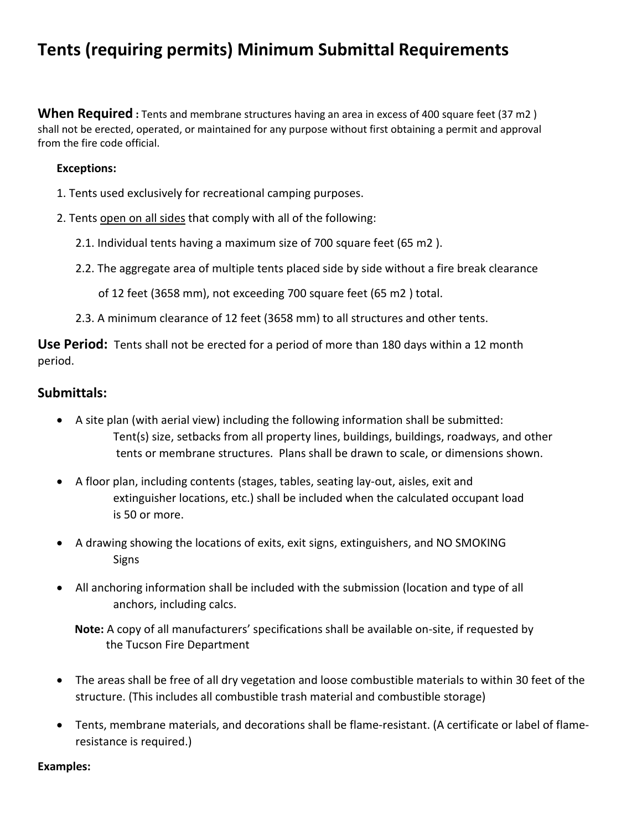# **Tents (requiring permits) Minimum Submittal Requirements**

**When Required :** Tents and membrane structures having an area in excess of 400 square feet (37 m2) shall not be erected, operated, or maintained for any purpose without first obtaining a permit and approval from the fire code official.

### **Exceptions:**

- 1. Tents used exclusively for recreational camping purposes.
- 2. Tents open on all sides that comply with all of the following:
	- 2.1. Individual tents having a maximum size of 700 square feet (65 m2 ).
	- 2.2. The aggregate area of multiple tents placed side by side without a fire break clearance

of 12 feet (3658 mm), not exceeding 700 square feet (65 m2 ) total.

2.3. A minimum clearance of 12 feet (3658 mm) to all structures and other tents.

**Use Period:** Tents shall not be erected for a period of more than 180 days within a 12 month period.

## **Submittals:**

- A site plan (with aerial view) including the following information shall be submitted: Tent(s) size, setbacks from all property lines, buildings, buildings, roadways, and other tents or membrane structures. Plans shall be drawn to scale, or dimensions shown.
- A floor plan, including contents (stages, tables, seating lay-out, aisles, exit and extinguisher locations, etc.) shall be included when the calculated occupant load is 50 or more.
- A drawing showing the locations of exits, exit signs, extinguishers, and NO SMOKING Signs
- All anchoring information shall be included with the submission (location and type of all anchors, including calcs.

 **Note:** A copy of all manufacturers' specifications shall be available on-site, if requested by the Tucson Fire Department

- The areas shall be free of all dry vegetation and loose combustible materials to within 30 feet of the structure. (This includes all combustible trash material and combustible storage)
- Tents, membrane materials, and decorations shall be flame-resistant. (A certificate or label of flameresistance is required.)

#### **Examples:**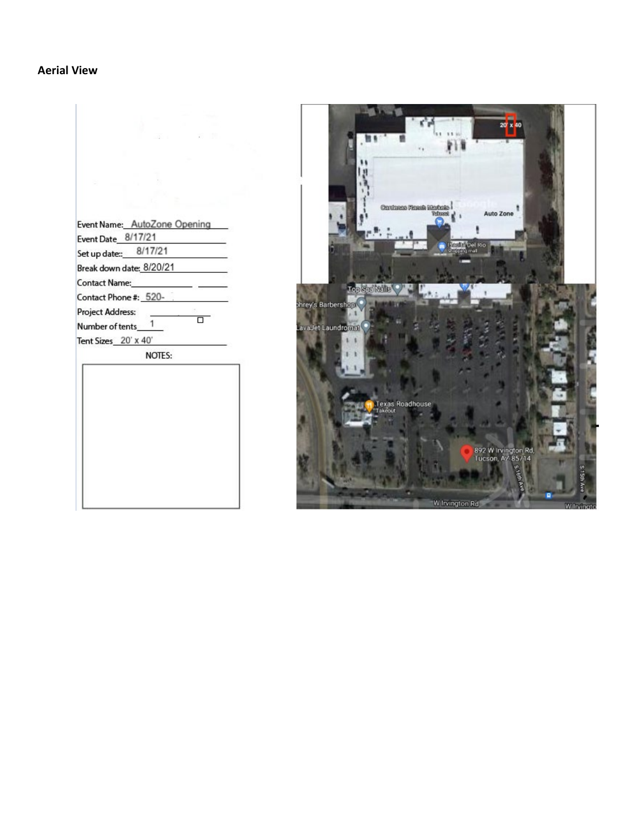## **Aerial View**

|                                                    | 20 x 40                                                                                                                                                                                                                                                                                                                                                                                                                                                          |
|----------------------------------------------------|------------------------------------------------------------------------------------------------------------------------------------------------------------------------------------------------------------------------------------------------------------------------------------------------------------------------------------------------------------------------------------------------------------------------------------------------------------------|
| Event Name: AutoZone Opening<br>Event Date 8/17/21 | $\begin{tabular}{ c c } \hline \multicolumn{1}{ c }{\textbf{Cumcl}}\\ \multicolumn{1}{ c }{\textbf{Cumcl}}\\ \multicolumn{1}{ c }{\textbf{Cumcl}}\\ \multicolumn{1}{ c }{\textbf{Cumcl}}\\ \multicolumn{1}{ c }{\textbf{Cumcl}}\\ \multicolumn{1}{ c }{\textbf{Cumcl}}\\ \multicolumn{1}{ c }{\textbf{Cumcl}}\\ \multicolumn{1}{ c }{\textbf{Cumcl}}\\ \multicolumn{1}{ c }{\textbf{Cumcl}}\\ \multicolumn{1}{ c }{\textbf{Cumcl}}\\ \multicolumn{$<br>Auto Zone |
| 8/17/21<br>Set up date::__                         | e Placifa <sup>l</sup> Del Rio.<br>V shqarqimal                                                                                                                                                                                                                                                                                                                                                                                                                  |
| Break down date: 8/20/21                           |                                                                                                                                                                                                                                                                                                                                                                                                                                                                  |
| Contact Name:                                      |                                                                                                                                                                                                                                                                                                                                                                                                                                                                  |
| Contact Phone #: 520-                              | Top Son Malls                                                                                                                                                                                                                                                                                                                                                                                                                                                    |
| Project Address:                                   | phrey's Barbershop                                                                                                                                                                                                                                                                                                                                                                                                                                               |
| ᇚ<br>Number of tents____1                          | LavaJet Laundromat                                                                                                                                                                                                                                                                                                                                                                                                                                               |
| Tent Sizes 20' x 40'                               |                                                                                                                                                                                                                                                                                                                                                                                                                                                                  |
| NOTES:                                             |                                                                                                                                                                                                                                                                                                                                                                                                                                                                  |
|                                                    | Texas Roadhouse<br>Takeout                                                                                                                                                                                                                                                                                                                                                                                                                                       |
|                                                    | 892 W Irvington Rd,<br>Tucson, AZ 85714<br>W Irvington Rd<br>W Irvingto                                                                                                                                                                                                                                                                                                                                                                                          |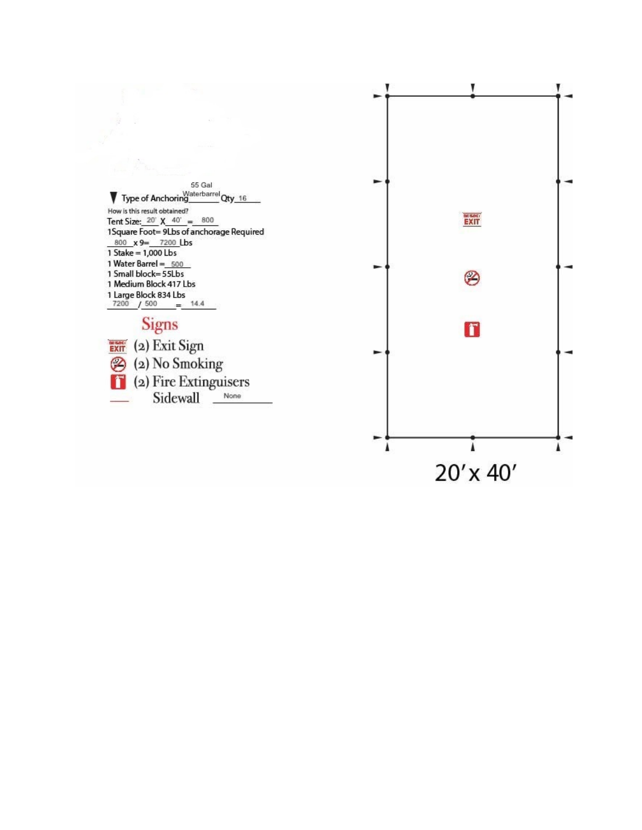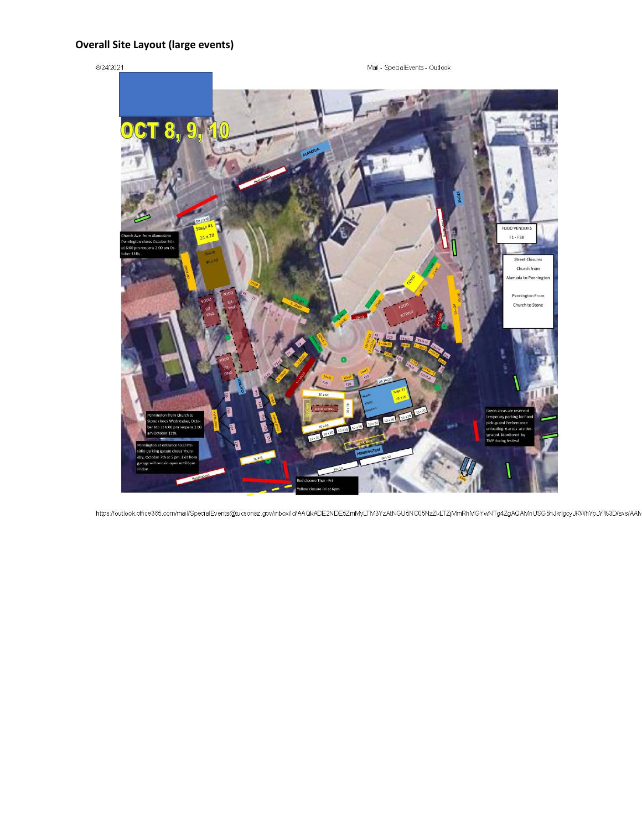## **Overall Site Layout (large events)**

#### 8/24/2021

Mail - SpecialEvents - Outlook



https://outlook.office365.com/mail/SpecialEvents@tucsonaz.gov/inbox/id/AAQkADE2NDE5ZmMyLTM3YzAtNGU5NC05NzZkLTZjMmRhMGYwNTg4ZgAQAMnUSG5hJkrlgcyJKWhYpJY%3D/sxs/AAN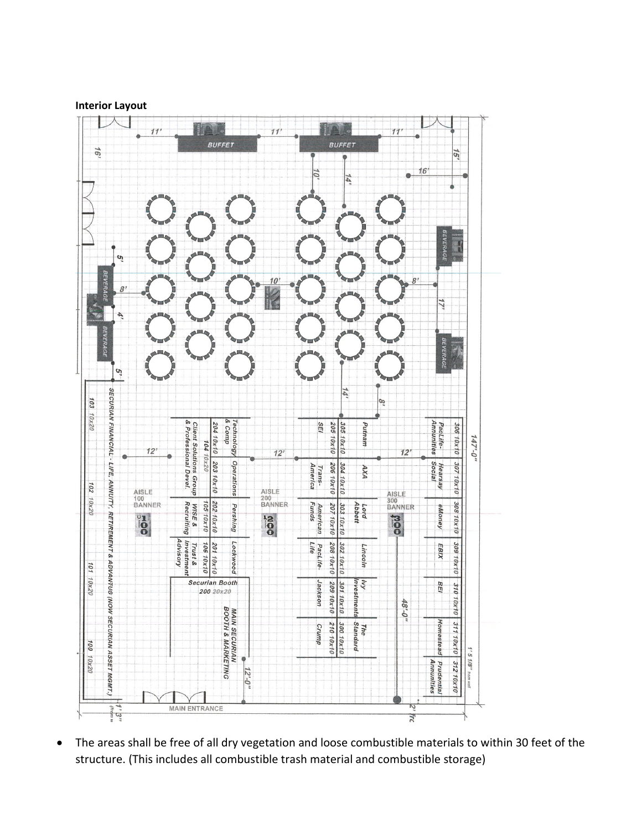



• The areas shall be free of all dry vegetation and loose combustible materials to within 30 feet of the structure. (This includes all combustible trash material and combustible storage)